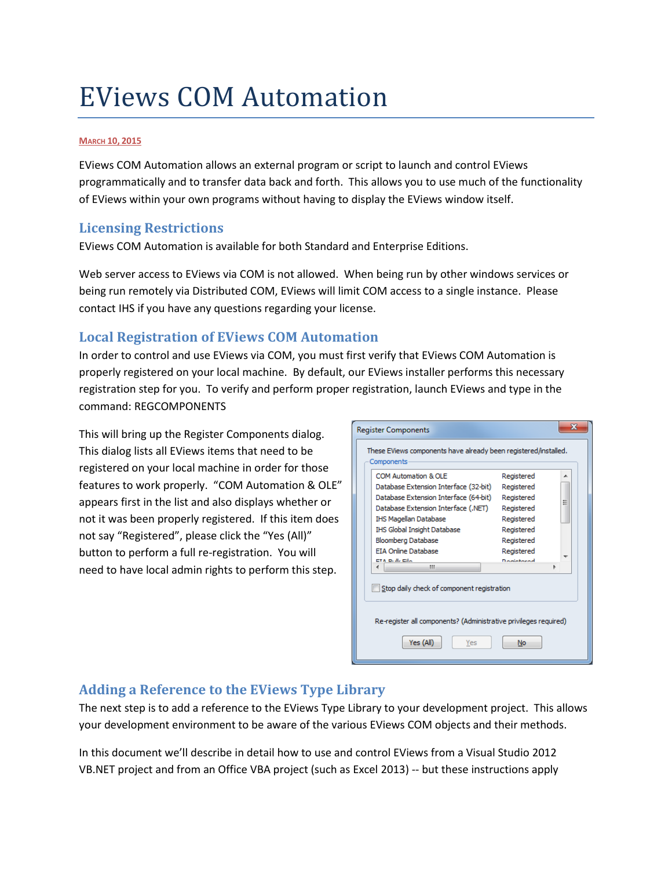# EViews COM Automation

#### **MARCH 10, 2015**

EViews COM Automation allows an external program or script to launch and control EViews programmatically and to transfer data back and forth. This allows you to use much of the functionality of EViews within your own programs without having to display the EViews window itself.

## <span id="page-0-0"></span>**Licensing Restrictions**

EViews COM Automation is available for both Standard and Enterprise Editions.

Web server access to EViews via COM is not allowed. When being run by other windows services or being run remotely via Distributed COM, EViews will limit COM access to a single instance. Please contact IHS if you have any questions regarding your license.

# **Local Registration of EViews COM Automation**

In order to control and use EViews via COM, you must first verify that EViews COM Automation is properly registered on your local machine. By default, our EViews installer performs this necessary registration step for you. To verify and perform proper registration, launch EViews and type in the command: REGCOMPONENTS

This will bring up the Register Components dialog. This dialog lists all EViews items that need to be registered on your local machine in order for those features to work properly. "COM Automation & OLE" appears first in the list and also displays whether or not it was been properly registered. If this item does not say "Registered", please click the "Yes (All)" button to perform a full re-registration. You will need to have local admin rights to perform this step.

| <b>Register Components</b>                                                    |                   | 33 |  |
|-------------------------------------------------------------------------------|-------------------|----|--|
| These EViews components have already been registered/installed.<br>Components |                   |    |  |
| COM Automation & OLE                                                          | Registered        | ∸  |  |
| Database Extension Interface (32-bit)                                         | Registered        |    |  |
| Database Extension Interface (64-bit)                                         | Registered        | Ξ  |  |
| Database Extension Interface (.NET)                                           | Registered        |    |  |
| IHS Magellan Database                                                         | Registered        |    |  |
| IHS Global Insight Database                                                   | Registered        |    |  |
| Bloomberg Database                                                            | Registered        |    |  |
| <b>FTA Online Database</b>                                                    | Registered        |    |  |
| ETA Dulla Eile<br>ш                                                           | <b>Dominicand</b> |    |  |
|                                                                               |                   |    |  |
| Stop daily check of component registration                                    |                   |    |  |
| Re-register all components? (Administrative privileges required)              |                   |    |  |
| Yes (All)<br>Yes                                                              | No                |    |  |

# **Adding a Reference to the EViews Type Library**

The next step is to add a reference to the EViews Type Library to your development project. This allows your development environment to be aware of the various EViews COM objects and their methods.

In this document we'll describe in detail how to use and control EViews from a Visual Studio 2012 VB.NET project and from an Office VBA project (such as Excel 2013) -- but these instructions apply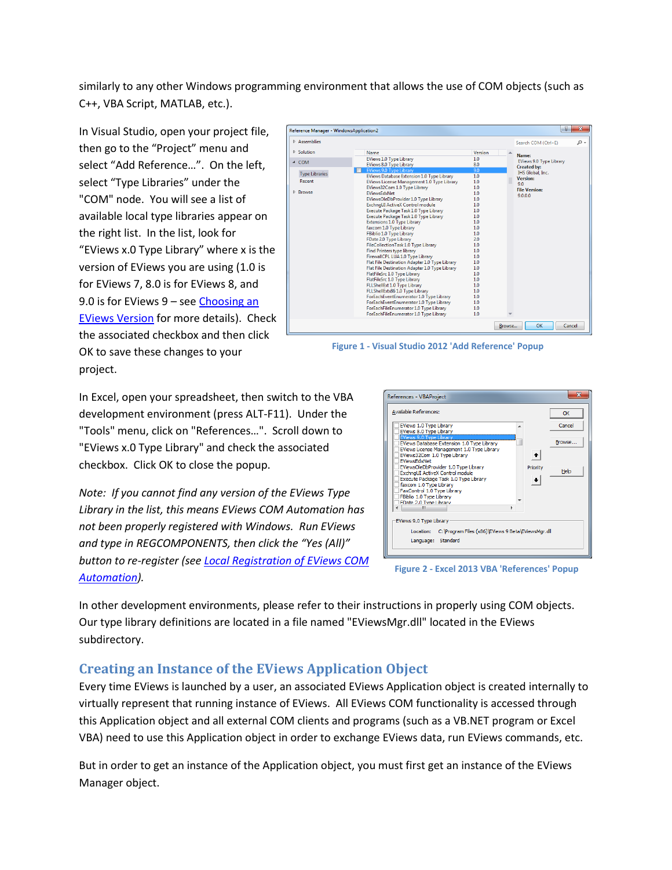similarly to any other Windows programming environment that allows the use of COM objects (such as C++, VBA Script, MATLAB, etc.).

In Visual Studio, open your project file, then go to the "Project" menu and select "Add Reference…". On the left, select "Type Libraries" under the "COM" node. You will see a list of available local type libraries appear on the right list. In the list, look for "EViews x.0 Type Library" where x is the version of EViews you are using (1.0 is for EViews 7, 8.0 is for EViews 8, and 9.0 is for EViews 9 – see [Choosing an](#page-8-0)  [EViews Version](#page-8-0) for more details). Check the associated checkbox and then click OK to save these changes to your project.



**Figure 1 - Visual Studio 2012 'Add Reference' Popup**

In Excel, open your spreadsheet, then switch to the VBA development environment (press ALT-F11). Under the "Tools" menu, click on "References…". Scroll down to "EViews x.0 Type Library" and check the associated checkbox. Click OK to close the popup.

*Note: If you cannot find any version of the EViews Type Library in the list, this means EViews COM Automation has not been properly registered with Windows. Run EViews and type in REGCOMPONENTS, then click the "Yes (All)" button to re-register (see [Local Registration of EViews COM](#page-0-0)  [Automation\)](#page-0-0).*



**Figure 2 - Excel 2013 VBA 'References' Popup**

In other development environments, please refer to their instructions in properly using COM objects. Our type library definitions are located in a file named "EViewsMgr.dll" located in the EViews subdirectory.

# **Creating an Instance of the EViews Application Object**

Every time EViews is launched by a user, an associated EViews Application object is created internally to virtually represent that running instance of EViews. All EViews COM functionality is accessed through this Application object and all external COM clients and programs (such as a VB.NET program or Excel VBA) need to use this Application object in order to exchange EViews data, run EViews commands, etc.

But in order to get an instance of the Application object, you must first get an instance of the EViews Manager object.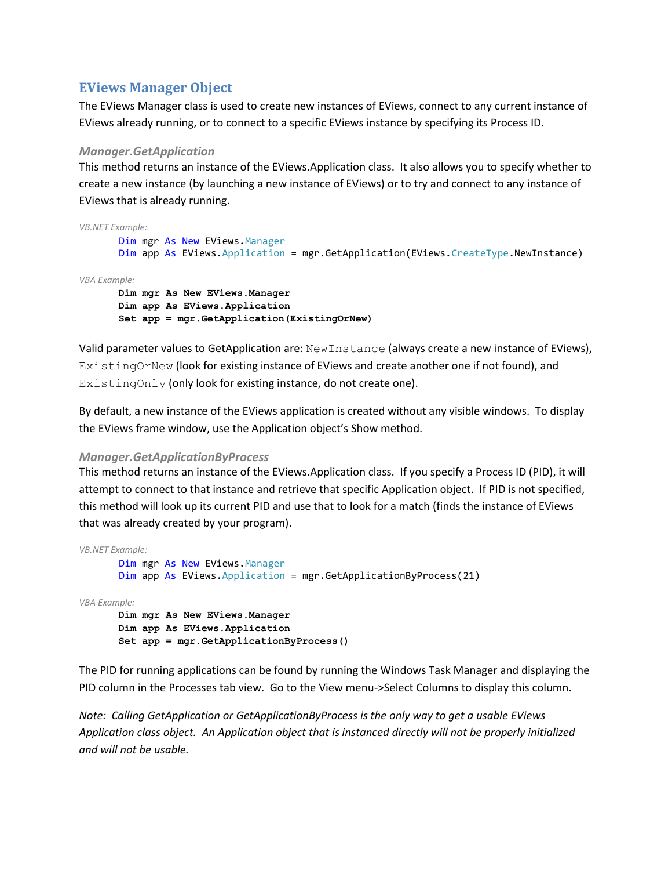## <span id="page-2-0"></span>**EViews Manager Object**

The EViews Manager class is used to create new instances of EViews, connect to any current instance of EViews already running, or to connect to a specific EViews instance by specifying its Process ID.

## *Manager.GetApplication*

This method returns an instance of the EViews.Application class. It also allows you to specify whether to create a new instance (by launching a new instance of EViews) or to try and connect to any instance of EViews that is already running.

```
VB.NET Example:
        Dim mgr As New EViews.Manager
       Dim app As EViews.Application = mgr.GetApplication(EViews.CreateType.NewInstance)
VBA Example:
      Dim mgr As New EViews.Manager
      Dim app As EViews.Application
       Set app = mgr.GetApplication(ExistingOrNew)
```
Valid parameter values to GetApplication are: NewInstance (always create a new instance of EViews), ExistingOrNew (look for existing instance of EViews and create another one if not found), and ExistingOnly (only look for existing instance, do not create one).

By default, a new instance of the EViews application is created without any visible windows. To display the EViews frame window, use the Application object's Show method.

### *Manager.GetApplicationByProcess*

This method returns an instance of the EViews.Application class. If you specify a Process ID (PID), it will attempt to connect to that instance and retrieve that specific Application object. If PID is not specified, this method will look up its current PID and use that to look for a match (finds the instance of EViews that was already created by your program).

```
VB.NET Example:
        Dim mgr As New EViews.Manager
        Dim app As EViews.Application = mgr.GetApplicationByProcess(21)
VBA Example:
      Dim mgr As New EViews.Manager
      Dim app As EViews.Application
       Set app = mgr.GetApplicationByProcess()
```
The PID for running applications can be found by running the Windows Task Manager and displaying the PID column in the Processes tab view. Go to the View menu->Select Columns to display this column.

*Note: Calling GetApplication or GetApplicationByProcess is the only way to get a usable EViews Application class object. An Application object that is instanced directly will not be properly initialized and will not be usable.*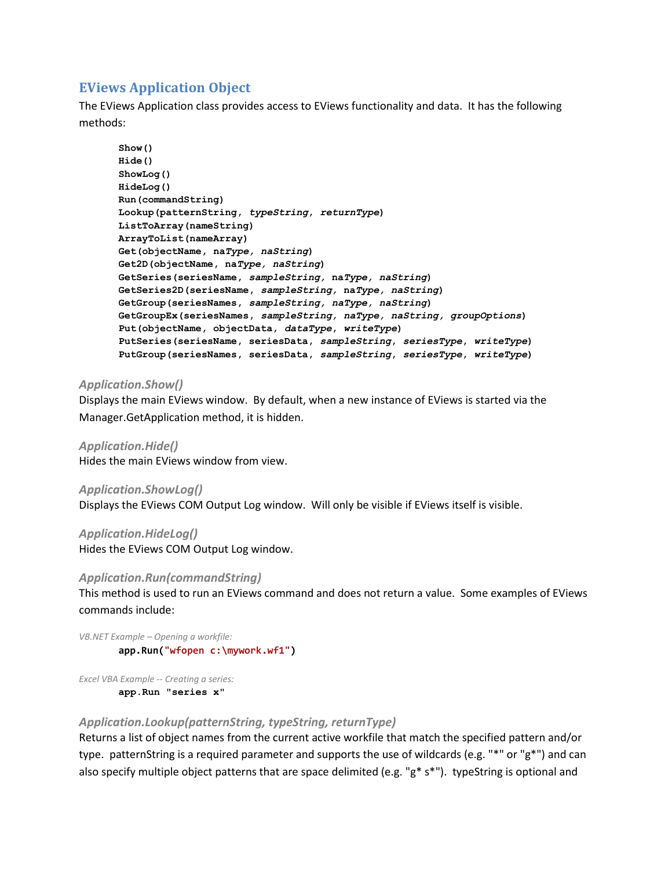## **EViews Application Object**

The EViews Application class provides access to EViews functionality and data. It has the following methods:

```
Show()
Hide()
ShowLog()
HideLog()
Run(commandString)
Lookup(patternString, typeString, returnType)
ListToArray(nameString)
ArrayToList(nameArray)
Get(objectName, naType, naString)
Get2D(objectName, naType, naString)
GetSeries(seriesName, sampleString, naType, naString)
GetSeries2D(seriesName, sampleString, naType, naString)
GetGroup(seriesNames, sampleString, naType, naString)
GetGroupEx(seriesNames, sampleString, naType, naString, groupOptions)
Put(objectName, objectData, dataType, writeType)
PutSeries(seriesName, seriesData, sampleString, seriesType, writeType)
PutGroup(seriesNames, seriesData, sampleString, seriesType, writeType)
```
## *Application.Show()*

Displays the main EViews window. By default, when a new instance of EViews is started via the Manager.GetApplication method, it is hidden.

*Application.Hide()* Hides the main EViews window from view.

*Application.ShowLog()* Displays the EViews COM Output Log window. Will only be visible if EViews itself is visible.

*Application.HideLog()*

Hides the EViews COM Output Log window.

### *Application.Run(commandString)*

This method is used to run an EViews command and does not return a value. Some examples of EViews commands include:

*VB.NET Example – Opening a workfile:* **app.Run("wfopen c:\mywork.wf1")**

*Excel VBA Example -- Creating a series:* **app.Run "series x"**

### *Application.Lookup(patternString, typeString, returnType)*

Returns a list of object names from the current active workfile that match the specified pattern and/or type. patternString is a required parameter and supports the use of wildcards (e.g. "\*" or "g\*") and can also specify multiple object patterns that are space delimited (e.g. "g\* s\*"). typeString is optional and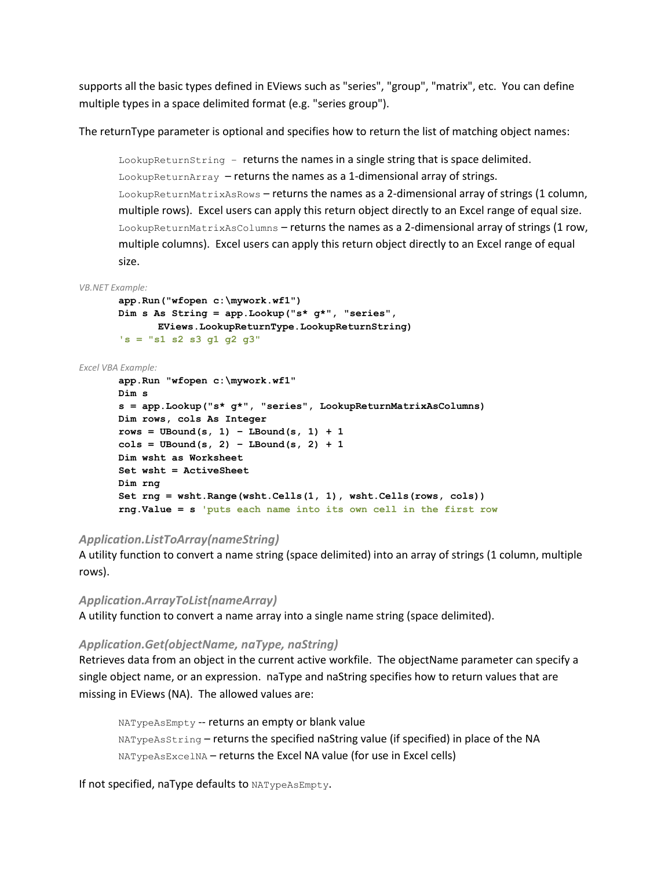supports all the basic types defined in EViews such as "series", "group", "matrix", etc. You can define multiple types in a space delimited format (e.g. "series group").

The returnType parameter is optional and specifies how to return the list of matching object names:

LookupReturnString – returns the names in a single string that is space delimited. LookupReturnArray – returns the names as a 1-dimensional array of strings. LookupReturnMatrixAsRows – returns the names as a 2-dimensional array of strings (1 column, multiple rows). Excel users can apply this return object directly to an Excel range of equal size. LookupReturnMatrixAsColumns – returns the names as a 2-dimensional array of strings (1 row, multiple columns). Excel users can apply this return object directly to an Excel range of equal size.

#### *VB.NET Example:*

```
app.Run("wfopen c:\mywork.wf1")
Dim s As String = app.Lookup("s* g*", "series", 
     EViews.LookupReturnType.LookupReturnString)
's = "s1 s2 s3 g1 g2 g3"
```
#### *Excel VBA Example:*

```
app.Run "wfopen c:\mywork.wf1"
Dim s
s = app.Lookup("s* g*", "series", LookupReturnMatrixAsColumns)
Dim rows, cols As Integer
rows = UBound(s, 1) - LBound(s, 1) + 1\cosh s = \text{UBound}(s, 2) - \text{LBound}(s, 2) + 1Dim wsht as Worksheet
Set wsht = ActiveSheet
Dim rng
Set rng = wsht.Range(wsht.Cells(1, 1), wsht.Cells(rows, cols))
rng.Value = s 'puts each name into its own cell in the first row
```
### *Application.ListToArray(nameString)*

A utility function to convert a name string (space delimited) into an array of strings (1 column, multiple rows).

### *Application.ArrayToList(nameArray)*

A utility function to convert a name array into a single name string (space delimited).

#### *Application.Get(objectName, naType, naString)*

Retrieves data from an object in the current active workfile. The objectName parameter can specify a single object name, or an expression. naType and naString specifies how to return values that are missing in EViews (NA). The allowed values are:

NATypeAsEmpty -- returns an empty or blank value NATypeAsString – returns the specified naString value (if specified) in place of the NA NATypeAsExcelNA – returns the Excel NA value (for use in Excel cells)

If not specified, naType defaults to NATypeAsEmpty.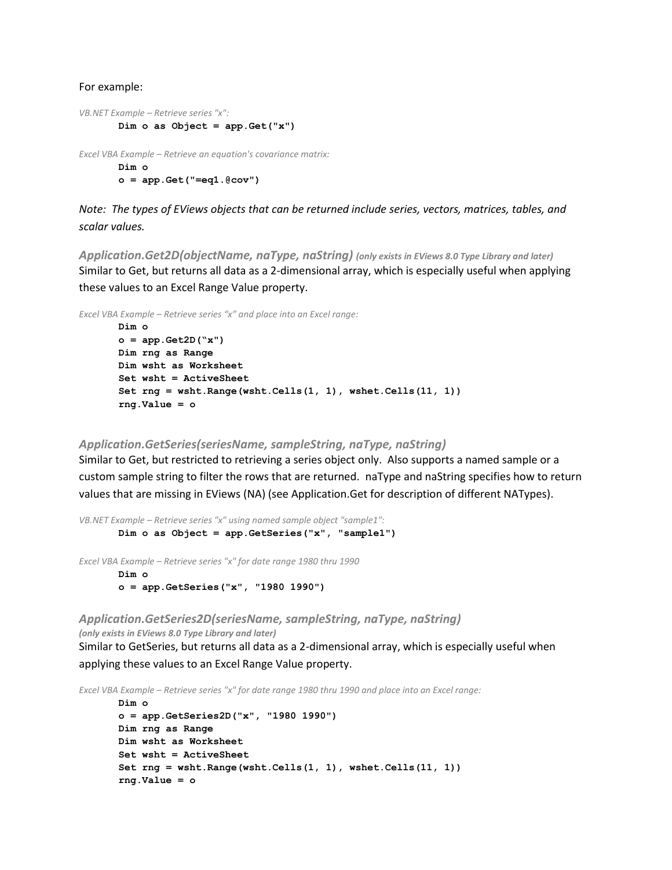#### For example:

```
VB.NET Example – Retrieve series "x":
        Dim o as Object = app.Get("x")
Excel VBA Example – Retrieve an equation's covariance matrix:
        Dim o
```
**o = app.Get("=eq1.@cov")**

*Note: The types of EViews objects that can be returned include series, vectors, matrices, tables, and scalar values.*

*Application.Get2D(objectName, naType, naString) (only exists in EViews 8.0 Type Library and later)* Similar to Get, but returns all data as a 2-dimensional array, which is especially useful when applying these values to an Excel Range Value property.

*Excel VBA Example – Retrieve series "x" and place into an Excel range:*

```
Dim o
o = app.Get2D("x")
Dim rng as Range
Dim wsht as Worksheet
Set wsht = ActiveSheet
Set rng = wsht.Range(wsht.Cells(1, 1), wshet.Cells(11, 1))
rng.Value = o
```
#### *Application.GetSeries(seriesName, sampleString, naType, naString)*

Similar to Get, but restricted to retrieving a series object only. Also supports a named sample or a custom sample string to filter the rows that are returned. naType and naString specifies how to return values that are missing in EViews (NA) (see Application.Get for description of different NATypes).

*VB.NET Example – Retrieve series "x" using named sample object "sample1":* **Dim o as Object = app.GetSeries("x", "sample1")**

*Excel VBA Example – Retrieve series "x" for date range 1980 thru 1990*

**Dim o o = app.GetSeries("x", "1980 1990")**

*Application.GetSeries2D(seriesName, sampleString, naType, naString) (only exists in EViews 8.0 Type Library and later)*

Similar to GetSeries, but returns all data as a 2-dimensional array, which is especially useful when applying these values to an Excel Range Value property.

*Excel VBA Example – Retrieve series "x" for date range 1980 thru 1990 and place into an Excel range:*

```
Dim o
o = app.GetSeries2D("x", "1980 1990")
Dim rng as Range
Dim wsht as Worksheet
Set wsht = ActiveSheet
Set rng = wsht.Range(wsht.Cells(1, 1), wshet.Cells(11, 1))
rng.Value = o
```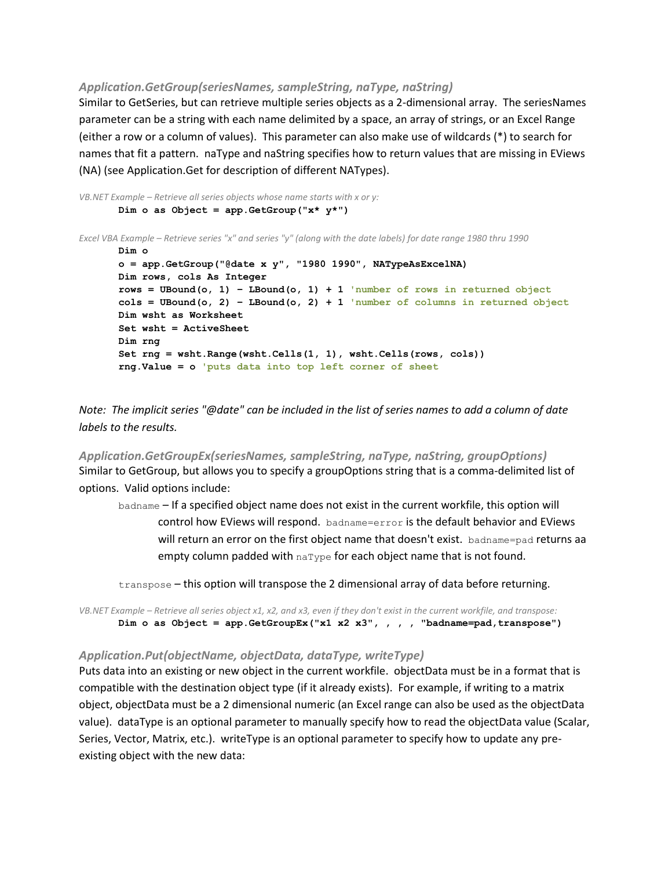#### *Application.GetGroup(seriesNames, sampleString, naType, naString)*

Similar to GetSeries, but can retrieve multiple series objects as a 2-dimensional array. The seriesNames parameter can be a string with each name delimited by a space, an array of strings, or an Excel Range (either a row or a column of values). This parameter can also make use of wildcards (\*) to search for names that fit a pattern. naType and naString specifies how to return values that are missing in EViews (NA) (see Application.Get for description of different NATypes).

```
VB.NET Example – Retrieve all series objects whose name starts with x or y:
       Dim o as Object = app.GetGroup("x* y*")
Excel VBA Example – Retrieve series "x" and series "y" (along with the date labels) for date range 1980 thru 1990
       Dim o
       o = app.GetGroup("@date x y", "1980 1990", NATypeAsExcelNA)
       Dim rows, cols As Integer
       rows = UBound(o, 1) – LBound(o, 1) + 1 'number of rows in returned object
       cols = UBound(o, 2) – LBound(o, 2) + 1 'number of columns in returned object
       Dim wsht as Worksheet
       Set wsht = ActiveSheet
       Dim rng
       Set rng = wsht.Range(wsht.Cells(1, 1), wsht.Cells(rows, cols))
       rng.Value = o 'puts data into top left corner of sheet
```
*Note: The implicit series "@date" can be included in the list of series names to add a column of date labels to the results.*

*Application.GetGroupEx(seriesNames, sampleString, naType, naString, groupOptions)* Similar to GetGroup, but allows you to specify a groupOptions string that is a comma-delimited list of options. Valid options include:

badname – If a specified object name does not exist in the current workfile, this option will control how EViews will respond. badname=error is the default behavior and EViews will return an error on the first object name that doesn't exist. badname=pad returns aa empty column padded with  $narype$  for each object name that is not found.

transpose – this option will transpose the 2 dimensional array of data before returning.

*VB.NET Example – Retrieve all series object x1, x2, and x3, even if they don't exist in the current workfile, and transpose:* **Dim o as Object = app.GetGroupEx("x1 x2 x3", , , , "badname=pad,transpose")**

### *Application.Put(objectName, objectData, dataType, writeType)*

Puts data into an existing or new object in the current workfile. objectData must be in a format that is compatible with the destination object type (if it already exists). For example, if writing to a matrix object, objectData must be a 2 dimensional numeric (an Excel range can also be used as the objectData value). dataType is an optional parameter to manually specify how to read the objectData value (Scalar, Series, Vector, Matrix, etc.). writeType is an optional parameter to specify how to update any preexisting object with the new data: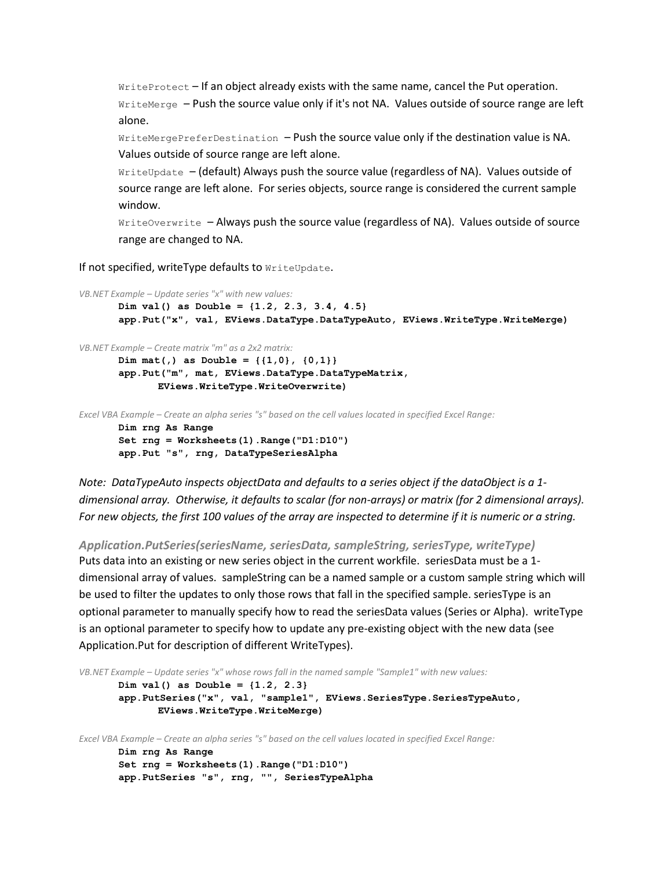WriteProtect – If an object already exists with the same name, cancel the Put operation. WriteMerge – Push the source value only if it's not NA. Values outside of source range are left alone.

WriteMergePreferDestination - Push the source value only if the destination value is NA. Values outside of source range are left alone.

WriteUpdate – (default) Always push the source value (regardless of NA). Values outside of source range are left alone. For series objects, source range is considered the current sample window.

WriteOverwrite – Always push the source value (regardless of NA). Values outside of source range are changed to NA.

If not specified, writeType defaults to WriteUpdate.

```
VB.NET Example – Update series "x" with new values:
       Dim val() as Double = {1.2, 2.3, 3.4, 4.5}
       app.Put("x", val, EViews.DataType.DataTypeAuto, EViews.WriteType.WriteMerge)
```
*VB.NET Example – Create matrix "m" as a 2x2 matrix:*

```
Dim mat(,) as Double = {{1,0}, {0,1}}
app.Put("m", mat, EViews.DataType.DataTypeMatrix, 
      EViews.WriteType.WriteOverwrite)
```
*Excel VBA Example – Create an alpha series "s" based on the cell values located in specified Excel Range:*

```
Dim rng As Range
Set rng = Worksheets(1).Range("D1:D10")
app.Put "s", rng, DataTypeSeriesAlpha
```
*Note: DataTypeAuto inspects objectData and defaults to a series object if the dataObject is a 1 dimensional array. Otherwise, it defaults to scalar (for non-arrays) or matrix (for 2 dimensional arrays). For new objects, the first 100 values of the array are inspected to determine if it is numeric or a string.*

*Application.PutSeries(seriesName, seriesData, sampleString, seriesType, writeType)*

Puts data into an existing or new series object in the current workfile. seriesData must be a 1 dimensional array of values. sampleString can be a named sample or a custom sample string which will be used to filter the updates to only those rows that fall in the specified sample. seriesType is an optional parameter to manually specify how to read the seriesData values (Series or Alpha). writeType is an optional parameter to specify how to update any pre-existing object with the new data (see Application.Put for description of different WriteTypes).

```
VB.NET Example – Update series "x" whose rows fall in the named sample "Sample1" with new values:
       Dim val() as Double = {1.2, 2.3}
       app.PutSeries("x", val, "sample1", EViews.SeriesType.SeriesTypeAuto, 
               EViews.WriteType.WriteMerge)
Excel VBA Example – Create an alpha series "s" based on the cell values located in specified Excel Range:
       Dim rng As Range
       Set rng = Worksheets(1).Range("D1:D10")
       app.PutSeries "s", rng, "", SeriesTypeAlpha
```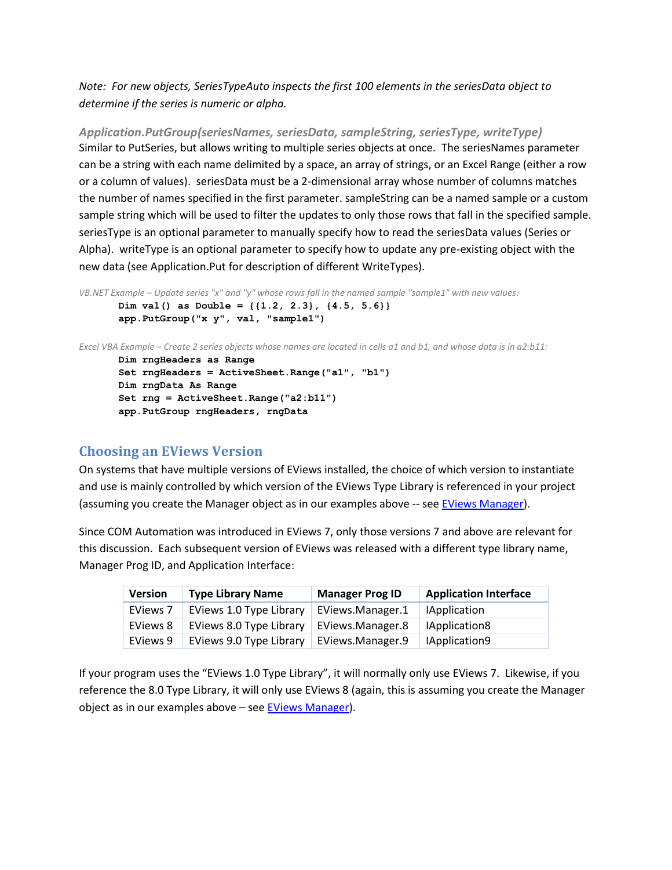*Note: For new objects, SeriesTypeAuto inspects the first 100 elements in the seriesData object to determine if the series is numeric or alpha.*

*Application.PutGroup(seriesNames, seriesData, sampleString, seriesType, writeType)* Similar to PutSeries, but allows writing to multiple series objects at once. The seriesNames parameter can be a string with each name delimited by a space, an array of strings, or an Excel Range (either a row or a column of values). seriesData must be a 2-dimensional array whose number of columns matches the number of names specified in the first parameter. sampleString can be a named sample or a custom sample string which will be used to filter the updates to only those rows that fall in the specified sample. seriesType is an optional parameter to manually specify how to read the seriesData values (Series or Alpha). writeType is an optional parameter to specify how to update any pre-existing object with the new data (see Application.Put for description of different WriteTypes).

```
VB.NET Example – Update series "x" and "y" whose rows fall in the named sample "sample1" with new values:
       Dim val() as Double = {{1.2, 2.3}, {4.5, 5.6}}
        app.PutGroup("x y", val, "sample1")
```
*Excel VBA Example – Create 2 series objects whose names are located in cells a1 and b1, and whose data is in a2:b11:*

```
Dim rngHeaders as Range
Set rngHeaders = ActiveSheet.Range("a1", "b1")
Dim rngData As Range
Set rng = ActiveSheet.Range("a2:b11")
app.PutGroup rngHeaders, rngData
```
## <span id="page-8-0"></span>**Choosing an EViews Version**

On systems that have multiple versions of EViews installed, the choice of which version to instantiate and use is mainly controlled by which version of the EViews Type Library is referenced in your project (assuming you create the Manager object as in our examples above -- se[e EViews Manager\)](#page-2-0).

Since COM Automation was introduced in EViews 7, only those versions 7 and above are relevant for this discussion. Each subsequent version of EViews was released with a different type library name, Manager Prog ID, and Application Interface:

| <b>Version</b> | <b>Type Library Name</b> | <b>Manager Prog ID</b> | <b>Application Interface</b> |
|----------------|--------------------------|------------------------|------------------------------|
| EViews 7       | EViews 1.0 Type Library  | EViews.Manager.1       | <b>IApplication</b>          |
| EViews 8       | EViews 8.0 Type Library  | EViews.Manager.8       | IApplication8                |
| EViews 9       | EViews 9.0 Type Library  | EViews.Manager.9       | IApplication9                |

If your program uses the "EViews 1.0 Type Library", it will normally only use EViews 7. Likewise, if you reference the 8.0 Type Library, it will only use EViews 8 (again, this is assuming you create the Manager object as in our examples above – se[e EViews Manager\)](#page-2-0).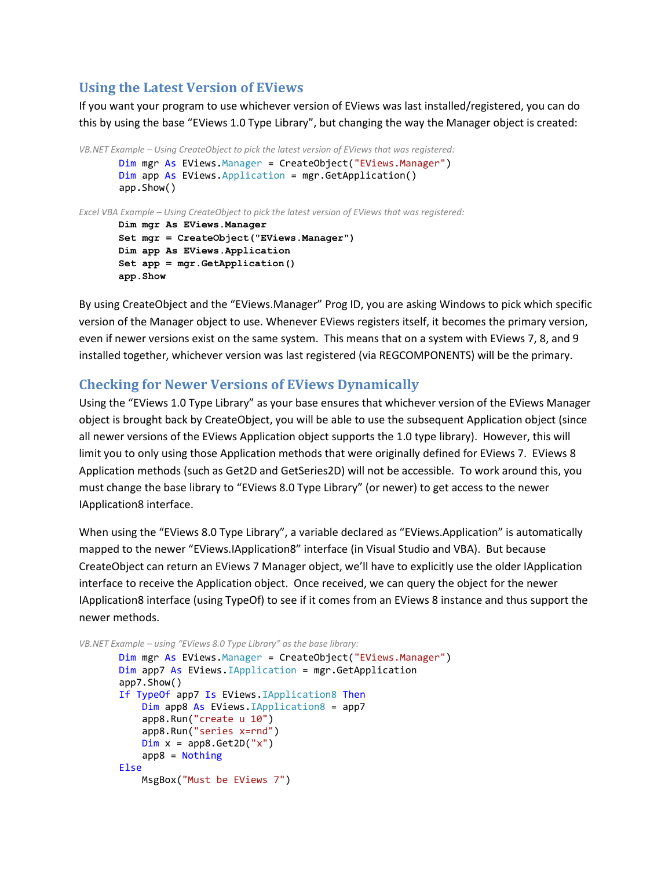## **Using the Latest Version of EViews**

If you want your program to use whichever version of EViews was last installed/registered, you can do this by using the base "EViews 1.0 Type Library", but changing the way the Manager object is created:

```
VB.NET Example – Using CreateObject to pick the latest version of EViews that was registered:
         Dim mgr As EViews.Manager = CreateObject("EViews.Manager")
         Dim app As EViews.Application = mgr.GetApplication()
         app.Show()
Excel VBA Example – Using CreateObject to pick the latest version of EViews that was registered:
       Dim mgr As EViews.Manager
       Set mgr = CreateObject("EViews.Manager")
       Dim app As EViews.Application
       Set app = mgr.GetApplication()
       app.Show
```
By using CreateObject and the "EViews.Manager" Prog ID, you are asking Windows to pick which specific version of the Manager object to use. Whenever EViews registers itself, it becomes the primary version, even if newer versions exist on the same system. This means that on a system with EViews 7, 8, and 9 installed together, whichever version was last registered (via REGCOMPONENTS) will be the primary.

## **Checking for Newer Versions of EViews Dynamically**

Using the "EViews 1.0 Type Library" as your base ensures that whichever version of the EViews Manager object is brought back by CreateObject, you will be able to use the subsequent Application object (since all newer versions of the EViews Application object supports the 1.0 type library). However, this will limit you to only using those Application methods that were originally defined for EViews 7. EViews 8 Application methods (such as Get2D and GetSeries2D) will not be accessible. To work around this, you must change the base library to "EViews 8.0 Type Library" (or newer) to get access to the newer IApplication8 interface.

When using the "EViews 8.0 Type Library", a variable declared as "EViews.Application" is automatically mapped to the newer "EViews.IApplication8" interface (in Visual Studio and VBA). But because CreateObject can return an EViews 7 Manager object, we'll have to explicitly use the older IApplication interface to receive the Application object. Once received, we can query the object for the newer IApplication8 interface (using TypeOf) to see if it comes from an EViews 8 instance and thus support the newer methods.

```
VB.NET Example – using "EViews 8.0 Type Library" as the base library:
```

```
 Dim mgr As EViews.Manager = CreateObject("EViews.Manager")
 Dim app7 As EViews.IApplication = mgr.GetApplication
 app7.Show()
 If TypeOf app7 Is EViews.IApplication8 Then
     Dim app8 As EViews.IApplication8 = app7
     app8.Run("create u 10")
    app8.Run("series x=rnd")
    Dim x = app8.Get2D("x") app8 = Nothing
 Else
     MsgBox("Must be EViews 7")
```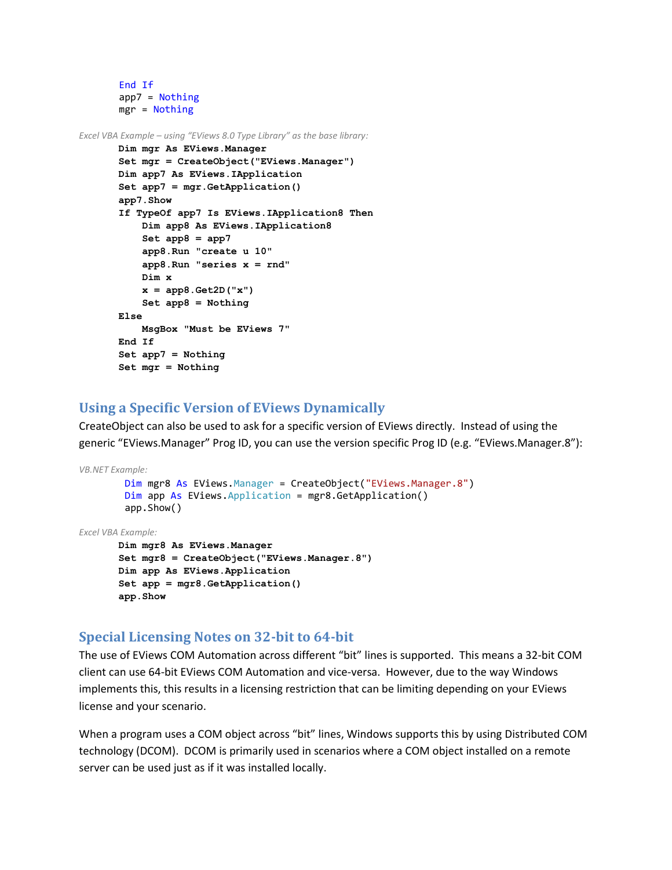```
 End If
 app7 = Nothing
 mgr = Nothing
```
*Excel VBA Example – using "EViews 8.0 Type Library" as the base library:*

```
Dim mgr As EViews.Manager
Set mgr = CreateObject("EViews.Manager")
Dim app7 As EViews.IApplication
Set app7 = mgr.GetApplication()
app7.Show
If TypeOf app7 Is EViews.IApplication8 Then
     Dim app8 As EViews.IApplication8
     Set app8 = app7
     app8.Run "create u 10"
     app8.Run "series x = rnd"
     Dim x
     x = app8.Get2D("x")
     Set app8 = Nothing
Else
     MsgBox "Must be EViews 7"
End If
Set app7 = Nothing
Set mgr = Nothing
```
## **Using a Specific Version of EViews Dynamically**

CreateObject can also be used to ask for a specific version of EViews directly. Instead of using the generic "EViews.Manager" Prog ID, you can use the version specific Prog ID (e.g. "EViews.Manager.8"):

```
VB.NET Example:
         Dim mgr8 As EViews.Manager = CreateObject("EViews.Manager.8")
         Dim app As EViews.Application = mgr8.GetApplication()
         app.Show()
Excel VBA Example:
```

```
Dim mgr8 As EViews.Manager
Set mgr8 = CreateObject("EViews.Manager.8")
Dim app As EViews.Application
Set app = mgr8.GetApplication()
app.Show
```
## **Special Licensing Notes on 32-bit to 64-bit**

The use of EViews COM Automation across different "bit" lines is supported. This means a 32-bit COM client can use 64-bit EViews COM Automation and vice-versa. However, due to the way Windows implements this, this results in a licensing restriction that can be limiting depending on your EViews license and your scenario.

When a program uses a COM object across "bit" lines, Windows supports this by using Distributed COM technology (DCOM). DCOM is primarily used in scenarios where a COM object installed on a remote server can be used just as if it was installed locally.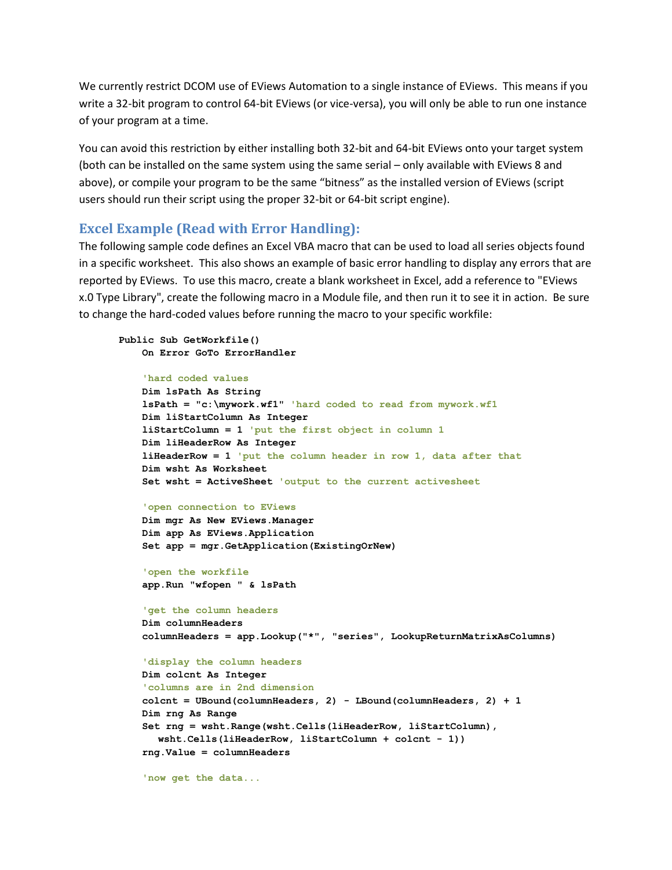We currently restrict DCOM use of EViews Automation to a single instance of EViews. This means if you write a 32-bit program to control 64-bit EViews (or vice-versa), you will only be able to run one instance of your program at a time.

You can avoid this restriction by either installing both 32-bit and 64-bit EViews onto your target system (both can be installed on the same system using the same serial – only available with EViews 8 and above), or compile your program to be the same "bitness" as the installed version of EViews (script users should run their script using the proper 32-bit or 64-bit script engine).

## **Excel Example (Read with Error Handling):**

The following sample code defines an Excel VBA macro that can be used to load all series objects found in a specific worksheet. This also shows an example of basic error handling to display any errors that are reported by EViews. To use this macro, create a blank worksheet in Excel, add a reference to "EViews x.0 Type Library", create the following macro in a Module file, and then run it to see it in action. Be sure to change the hard-coded values before running the macro to your specific workfile:

#### **Public Sub GetWorkfile() On Error GoTo ErrorHandler**

```
 'hard coded values
```

```
 Dim lsPath As String
 lsPath = "c:\mywork.wf1" 'hard coded to read from mywork.wf1
 Dim liStartColumn As Integer
 liStartColumn = 1 'put the first object in column 1
 Dim liHeaderRow As Integer
 liHeaderRow = 1 'put the column header in row 1, data after that
 Dim wsht As Worksheet
 Set wsht = ActiveSheet 'output to the current activesheet
```
 **'open connection to EViews Dim mgr As New EViews.Manager Dim app As EViews.Application Set app = mgr.GetApplication(ExistingOrNew)**

 **'open the workfile app.Run "wfopen " & lsPath**

```
 'get the column headers
 Dim columnHeaders
 columnHeaders = app.Lookup("*", "series", LookupReturnMatrixAsColumns)
```

```
 'display the column headers
 Dim colcnt As Integer
 'columns are in 2nd dimension
 colcnt = UBound(columnHeaders, 2) - LBound(columnHeaders, 2) + 1 
 Dim rng As Range
 Set rng = wsht.Range(wsht.Cells(liHeaderRow, liStartColumn), 
  wsht.Cells(liHeaderRow, liStartColumn + colcnt - 1))
 rng.Value = columnHeaders
```
 **'now get the data...**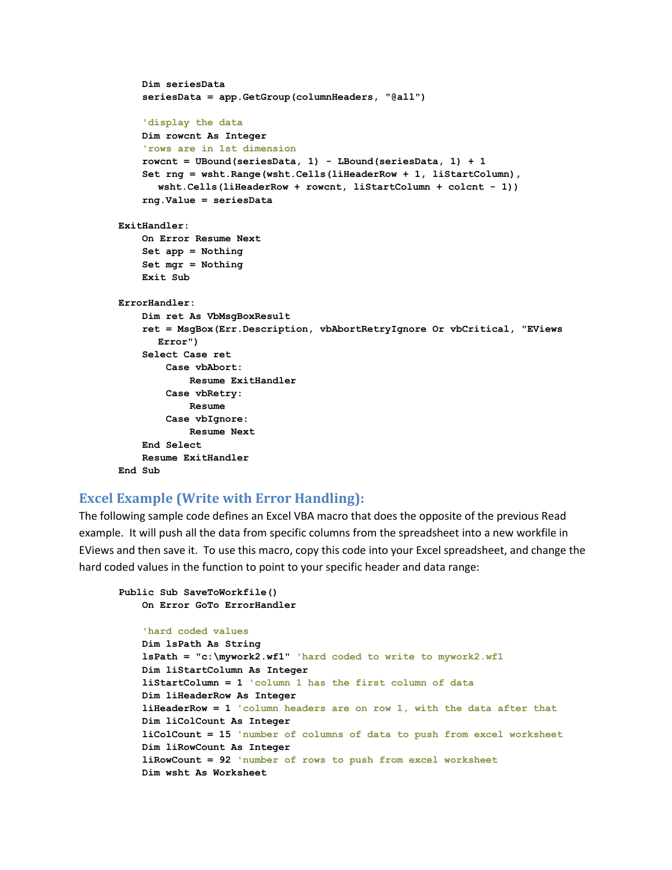```
 Dim seriesData
     seriesData = app.GetGroup(columnHeaders, "@all")
     'display the data
     Dim rowcnt As Integer
     'rows are in 1st dimension
     rowcnt = UBound(seriesData, 1) - LBound(seriesData, 1) + 1 
     Set rng = wsht.Range(wsht.Cells(liHeaderRow + 1, liStartColumn), 
      wsht.Cells(liHeaderRow + rowcnt, liStartColumn + colcnt - 1))
     rng.Value = seriesData
ExitHandler:
     On Error Resume Next
     Set app = Nothing
     Set mgr = Nothing
     Exit Sub
ErrorHandler:
     Dim ret As VbMsgBoxResult
     ret = MsgBox(Err.Description, vbAbortRetryIgnore Or vbCritical, "EViews 
      Error")
     Select Case ret
         Case vbAbort:
             Resume ExitHandler
         Case vbRetry:
             Resume
         Case vbIgnore:
             Resume Next
     End Select
     Resume ExitHandler
End Sub
```
## **Excel Example (Write with Error Handling):**

The following sample code defines an Excel VBA macro that does the opposite of the previous Read example. It will push all the data from specific columns from the spreadsheet into a new workfile in EViews and then save it. To use this macro, copy this code into your Excel spreadsheet, and change the hard coded values in the function to point to your specific header and data range:

```
Public Sub SaveToWorkfile()
    On Error GoTo ErrorHandler
```

```
 'hard coded values
 Dim lsPath As String
 lsPath = "c:\mywork2.wf1" 'hard coded to write to mywork2.wf1
 Dim liStartColumn As Integer
 liStartColumn = 1 'column 1 has the first column of data
 Dim liHeaderRow As Integer
 liHeaderRow = 1 'column headers are on row 1, with the data after that
 Dim liColCount As Integer
 liColCount = 15 'number of columns of data to push from excel worksheet
 Dim liRowCount As Integer
 liRowCount = 92 'number of rows to push from excel worksheet
 Dim wsht As Worksheet
```